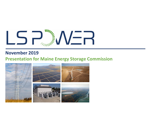

### **November 2019**

## **Presentation for Maine Energy Storage Commission**

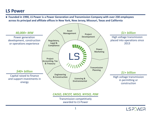## **LS Power**

■ Founded in 1990, LS Power is a Power Generation and Transmission Company with over 230 employees **across its principal and affiliate offices in New York, New Jersey, Missouri, Texas and California**



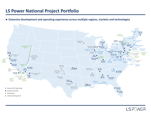### **LS Power National Project Portfolio**

#### ◼ **Extensive development and operating experience across multiple regions, markets and technologies**



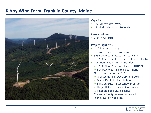# **Kibby Wind Farm, Franklin County, Maine**



#### **Capacity:**

- 132 Megawatts (MW)
- 44 wind turbines; 3 MW each

#### **In-service dates:**

• 2009 and 2010

### **Project Highlights:**

- 11 full-time positions
- 315 construction jobs at peak
- \$654,000/year in taxes paid to Maine
- \$132,000/year in taxes paid to Town of Eustis
- Community Support has included o \$20,000 for Blanchard Park in 2018/19
	-
	- o \$14,000 to Eustis Fire Department
- Other contributions in 2019 to:
	- o Greater Franklin Development Corp
	- o Maine Dept of Inland Fisheries
	- o Stratton/Eustis after school program
	- o Flagstaff Area Business Association
	- o Kingfield Pops Music Festival
- Conservation Agreement to protect high elevation ridgelines

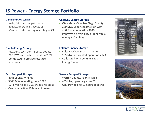## **LS Power - Energy Storage Portfolio**

#### **Vista Energy Storage**

- Vista, CA San Diego County
- 40 MW, operating since 2018
- Most powerful battery operating in CA

#### **Diablo Energy Storage**

- Pittsburg, CA Contra Costa County
- 200 MW, anticipated operation 2021
- Contracted to provide resource adequacy

#### **Gateway Energy Storage**

- Otay Mesa, CA San Diego County
- 250 MW, under construction with anticipated operation 2020
- Improves deliverability of renewable energy to San Diego

#### **LeConte Energy Storage**

- Calexico, CA Imperial County
- 125 MW, anticipated operation 2023
- Co-located with Centinela Solar Energy Station



- Bath County, Virginia
- 3000 MW, operating since 1985
- LS Power holds a 25% ownership stake
- Can provide 8 to 10 hours of power

#### **Seneca Pumped Storage**

- Warren County, Pennsylvania
- 435 MW, operating since 70
- Can provide 8 to 10 hours of power







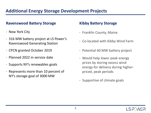# **Additional Energy Storage Development Projects**

### **Ravenswood Battery Storage**

- New York City
- 316 MW battery project at LS Power's Ravenswood Generating Station
- CPCN granted October 2019
- Planned 2022 in-service date
- Supports NY's renewables goals
- Represents more than 10 percent of NY's storage goal of 3000 MW

### **Kibby Battery Storage**

- Franklin County, Maine
- Co-located with Kibby Wind Farm
- Potential 60 MW battery project
- Would help lower peak energy prices by storing excess wind energy for delivery during higherpriced, peak periods
- Supportive of climate goals